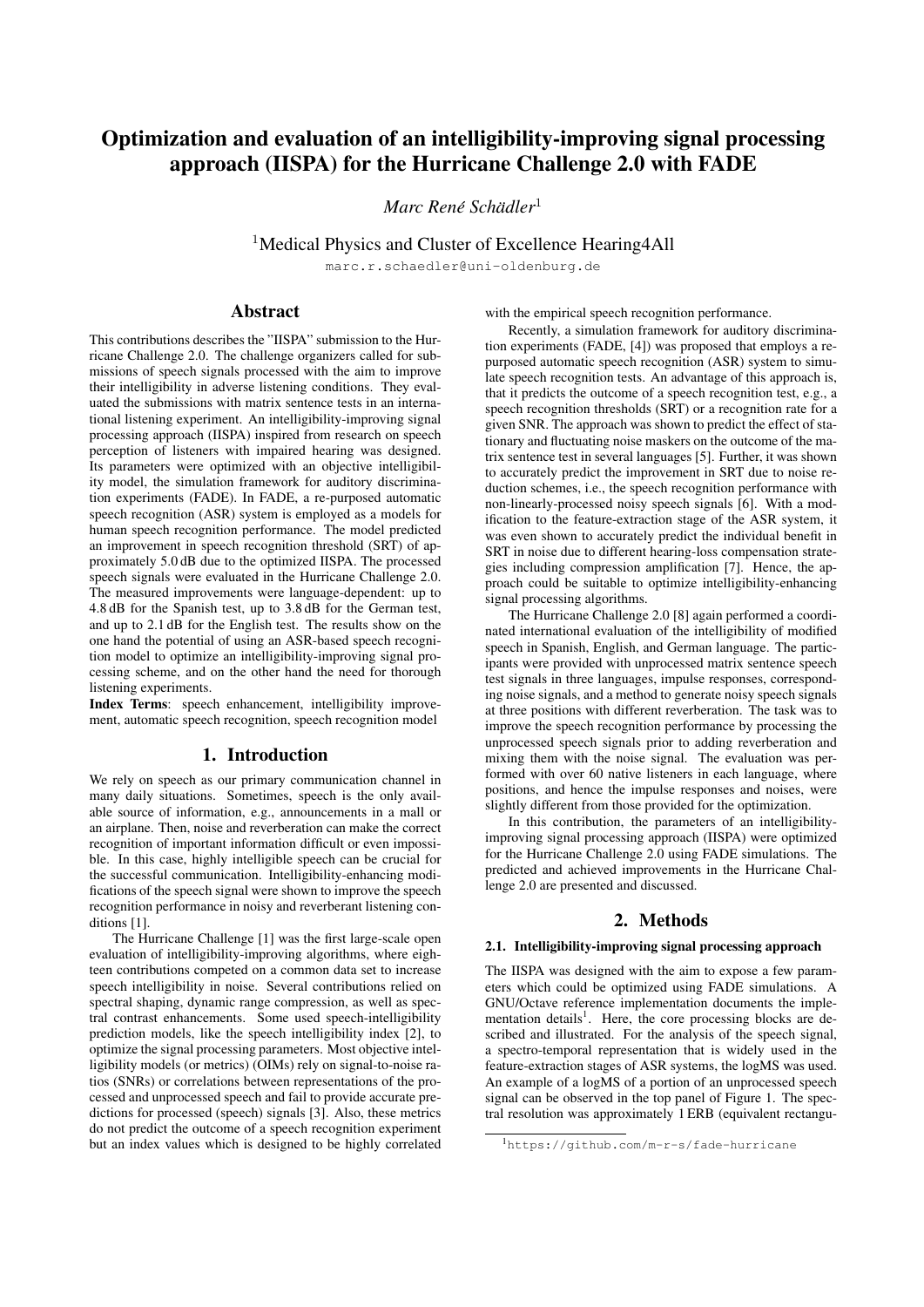# Optimization and evaluation of an intelligibility-improving signal processing approach (IISPA) for the Hurricane Challenge 2.0 with FADE

 $M$ arc René Schädler $^1$ 

<sup>1</sup>Medical Physics and Cluster of Excellence Hearing4All

marc.r.schaedler@uni-oldenburg.de

# Abstract

This contributions describes the "IISPA" submission to the Hurricane Challenge 2.0. The challenge organizers called for submissions of speech signals processed with the aim to improve their intelligibility in adverse listening conditions. They evaluated the submissions with matrix sentence tests in an international listening experiment. An intelligibility-improving signal processing approach (IISPA) inspired from research on speech perception of listeners with impaired hearing was designed. Its parameters were optimized with an objective intelligibility model, the simulation framework for auditory discrimination experiments (FADE). In FADE, a re-purposed automatic speech recognition (ASR) system is employed as a models for human speech recognition performance. The model predicted an improvement in speech recognition threshold (SRT) of approximately 5.0 dB due to the optimized IISPA. The processed speech signals were evaluated in the Hurricane Challenge 2.0. The measured improvements were language-dependent: up to 4.8 dB for the Spanish test, up to 3.8 dB for the German test, and up to 2.1 dB for the English test. The results show on the one hand the potential of using an ASR-based speech recognition model to optimize an intelligibility-improving signal processing scheme, and on the other hand the need for thorough listening experiments.

Index Terms: speech enhancement, intelligibility improvement, automatic speech recognition, speech recognition model

# 1. Introduction

We rely on speech as our primary communication channel in many daily situations. Sometimes, speech is the only available source of information, e.g., announcements in a mall or an airplane. Then, noise and reverberation can make the correct recognition of important information difficult or even impossible. In this case, highly intelligible speech can be crucial for the successful communication. Intelligibility-enhancing modifications of the speech signal were shown to improve the speech recognition performance in noisy and reverberant listening conditions [1].

The Hurricane Challenge [1] was the first large-scale open evaluation of intelligibility-improving algorithms, where eighteen contributions competed on a common data set to increase speech intelligibility in noise. Several contributions relied on spectral shaping, dynamic range compression, as well as spectral contrast enhancements. Some used speech-intelligibility prediction models, like the speech intelligibility index [2], to optimize the signal processing parameters. Most objective intelligibility models (or metrics) (OIMs) rely on signal-to-noise ratios (SNRs) or correlations between representations of the processed and unprocessed speech and fail to provide accurate predictions for processed (speech) signals [3]. Also, these metrics do not predict the outcome of a speech recognition experiment but an index values which is designed to be highly correlated with the empirical speech recognition performance.

Recently, a simulation framework for auditory discrimination experiments (FADE, [4]) was proposed that employs a repurposed automatic speech recognition (ASR) system to simulate speech recognition tests. An advantage of this approach is, that it predicts the outcome of a speech recognition test, e.g., a speech recognition thresholds (SRT) or a recognition rate for a given SNR. The approach was shown to predict the effect of stationary and fluctuating noise maskers on the outcome of the matrix sentence test in several languages [5]. Further, it was shown to accurately predict the improvement in SRT due to noise reduction schemes, i.e., the speech recognition performance with non-linearly-processed noisy speech signals [6]. With a modification to the feature-extraction stage of the ASR system, it was even shown to accurately predict the individual benefit in SRT in noise due to different hearing-loss compensation strategies including compression amplification [7]. Hence, the approach could be suitable to optimize intelligibility-enhancing signal processing algorithms.

The Hurricane Challenge 2.0 [8] again performed a coordinated international evaluation of the intelligibility of modified speech in Spanish, English, and German language. The participants were provided with unprocessed matrix sentence speech test signals in three languages, impulse responses, corresponding noise signals, and a method to generate noisy speech signals at three positions with different reverberation. The task was to improve the speech recognition performance by processing the unprocessed speech signals prior to adding reverberation and mixing them with the noise signal. The evaluation was performed with over 60 native listeners in each language, where positions, and hence the impulse responses and noises, were slightly different from those provided for the optimization.

In this contribution, the parameters of an intelligibilityimproving signal processing approach (IISPA) were optimized for the Hurricane Challenge 2.0 using FADE simulations. The predicted and achieved improvements in the Hurricane Challenge 2.0 are presented and discussed.

# 2. Methods

### 2.1. Intelligibility-improving signal processing approach

The IISPA was designed with the aim to expose a few parameters which could be optimized using FADE simulations. A GNU/Octave reference implementation documents the implementation details<sup>1</sup>. Here, the core processing blocks are described and illustrated. For the analysis of the speech signal, a spectro-temporal representation that is widely used in the feature-extraction stages of ASR systems, the logMS was used. An example of a logMS of a portion of an unprocessed speech signal can be observed in the top panel of Figure 1. The spectral resolution was approximately 1 ERB (equivalent rectangu-

<sup>1</sup>https://github.com/m-r-s/fade-hurricane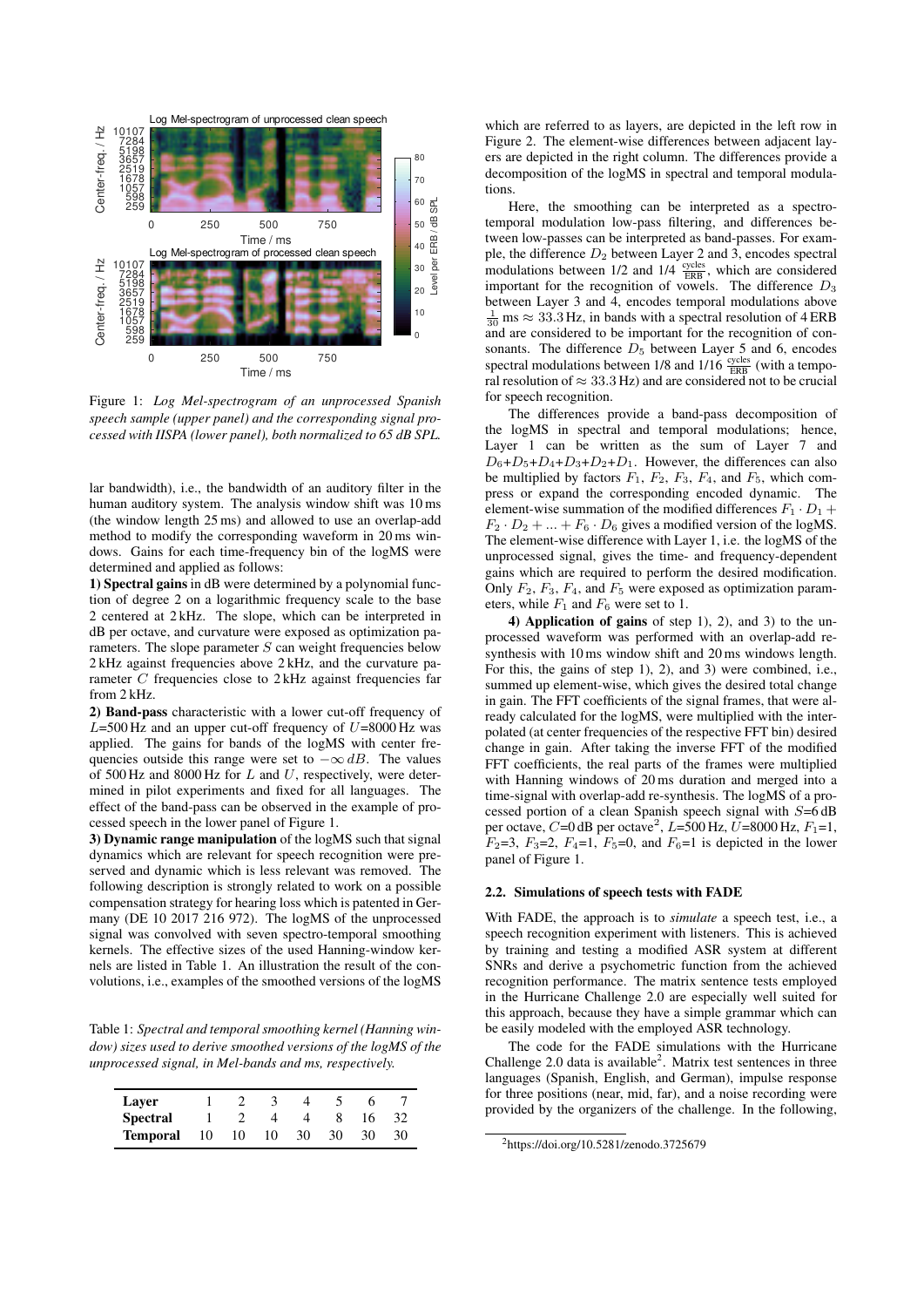

Figure 1: *Log Mel-spectrogram of an unprocessed Spanish speech sample (upper panel) and the corresponding signal processed with IISPA (lower panel), both normalized to 65 dB SPL.*

lar bandwidth), i.e., the bandwidth of an auditory filter in the human auditory system. The analysis window shift was 10 ms (the window length 25 ms) and allowed to use an overlap-add method to modify the corresponding waveform in 20 ms windows. Gains for each time-frequency bin of the logMS were determined and applied as follows:

1) Spectral gains in dB were determined by a polynomial function of degree 2 on a logarithmic frequency scale to the base 2 centered at 2 kHz. The slope, which can be interpreted in dB per octave, and curvature were exposed as optimization parameters. The slope parameter  $S$  can weight frequencies below 2 kHz against frequencies above 2 kHz, and the curvature parameter C frequencies close to 2 kHz against frequencies far from 2 kHz.

2) Band-pass characteristic with a lower cut-off frequency of  $L=500$  Hz and an upper cut-off frequency of  $U=8000$  Hz was applied. The gains for bands of the logMS with center frequencies outside this range were set to  $-\infty$  dB. The values of 500 Hz and 8000 Hz for  $L$  and  $U$ , respectively, were determined in pilot experiments and fixed for all languages. The effect of the band-pass can be observed in the example of processed speech in the lower panel of Figure 1.

3) Dynamic range manipulation of the logMS such that signal dynamics which are relevant for speech recognition were preserved and dynamic which is less relevant was removed. The following description is strongly related to work on a possible compensation strategy for hearing loss which is patented in Germany (DE 10 2017 216 972). The logMS of the unprocessed signal was convolved with seven spectro-temporal smoothing kernels. The effective sizes of the used Hanning-window kernels are listed in Table 1. An illustration the result of the convolutions, i.e., examples of the smoothed versions of the logMS

Table 1: *Spectral and temporal smoothing kernel (Hanning window) sizes used to derive smoothed versions of the logMS of the unprocessed signal, in Mel-bands and ms, respectively.*

| Layer           |    |    |    |    |    |    |     |
|-----------------|----|----|----|----|----|----|-----|
| <b>Spectral</b> |    |    |    |    |    | 16 |     |
| Temporal        | 10 | 10 | 10 | 30 | 30 | 30 | 30. |

which are referred to as layers, are depicted in the left row in Figure 2. The element-wise differences between adjacent layers are depicted in the right column. The differences provide a decomposition of the logMS in spectral and temporal modulations.

Here, the smoothing can be interpreted as a spectrotemporal modulation low-pass filtering, and differences between low-passes can be interpreted as band-passes. For example, the difference  $D_2$  between Layer 2 and 3, encodes spectral modulations between  $1/2$  and  $1/4 \frac{\text{cycles}}{\text{ERB}}$ , which are considered important for the recognition of vowels. The difference  $D_3$ between Layer 3 and 4, encodes temporal modulations above  $\frac{1}{30}$  ms  $\approx 33.3$  Hz, in bands with a spectral resolution of 4 ERB and are considered to be important for the recognition of consonants. The difference  $D_5$  between Layer 5 and 6, encodes spectral modulations between  $1/8$  and  $1/16 \frac{\text{cycles}}{\text{ERB}}$  (with a temporal resolution of  $\approx 33.3 \text{ Hz}$ ) and are considered not to be crucial for speech recognition.

The differences provide a band-pass decomposition of the logMS in spectral and temporal modulations; hence, Layer 1 can be written as the sum of Layer 7 and  $D_6+D_5+D_4+D_3+D_2+D_1$ . However, the differences can also be multiplied by factors  $F_1$ ,  $F_2$ ,  $F_3$ ,  $F_4$ , and  $F_5$ , which compress or expand the corresponding encoded dynamic. The element-wise summation of the modified differences  $F_1 \cdot D_1 +$  $F_2 \cdot D_2 + \ldots + F_6 \cdot D_6$  gives a modified version of the logMS. The element-wise difference with Layer 1, i.e. the logMS of the unprocessed signal, gives the time- and frequency-dependent gains which are required to perform the desired modification. Only  $F_2$ ,  $F_3$ ,  $F_4$ , and  $F_5$  were exposed as optimization parameters, while  $F_1$  and  $F_6$  were set to 1.

4) Application of gains of step 1), 2), and 3) to the unprocessed waveform was performed with an overlap-add resynthesis with 10 ms window shift and 20 ms windows length. For this, the gains of step 1), 2), and 3) were combined, i.e., summed up element-wise, which gives the desired total change in gain. The FFT coefficients of the signal frames, that were already calculated for the logMS, were multiplied with the interpolated (at center frequencies of the respective FFT bin) desired change in gain. After taking the inverse FFT of the modified FFT coefficients, the real parts of the frames were multiplied with Hanning windows of 20 ms duration and merged into a time-signal with overlap-add re-synthesis. The logMS of a processed portion of a clean Spanish speech signal with  $S=6$  dB per octave, C=0 dB per octave<sup>2</sup>, L=500 Hz, U=8000 Hz, F<sub>1</sub>=1,  $F_2=3, F_3=2, F_4=1, F_5=0,$  and  $F_6=1$  is depicted in the lower panel of Figure 1.

### 2.2. Simulations of speech tests with FADE

With FADE, the approach is to *simulate* a speech test, i.e., a speech recognition experiment with listeners. This is achieved by training and testing a modified ASR system at different SNRs and derive a psychometric function from the achieved recognition performance. The matrix sentence tests employed in the Hurricane Challenge 2.0 are especially well suited for this approach, because they have a simple grammar which can be easily modeled with the employed ASR technology.

The code for the FADE simulations with the Hurricane Challenge  $2.0$  data is available<sup>2</sup>. Matrix test sentences in three languages (Spanish, English, and German), impulse response for three positions (near, mid, far), and a noise recording were provided by the organizers of the challenge. In the following,

<sup>2</sup>https://doi.org/10.5281/zenodo.3725679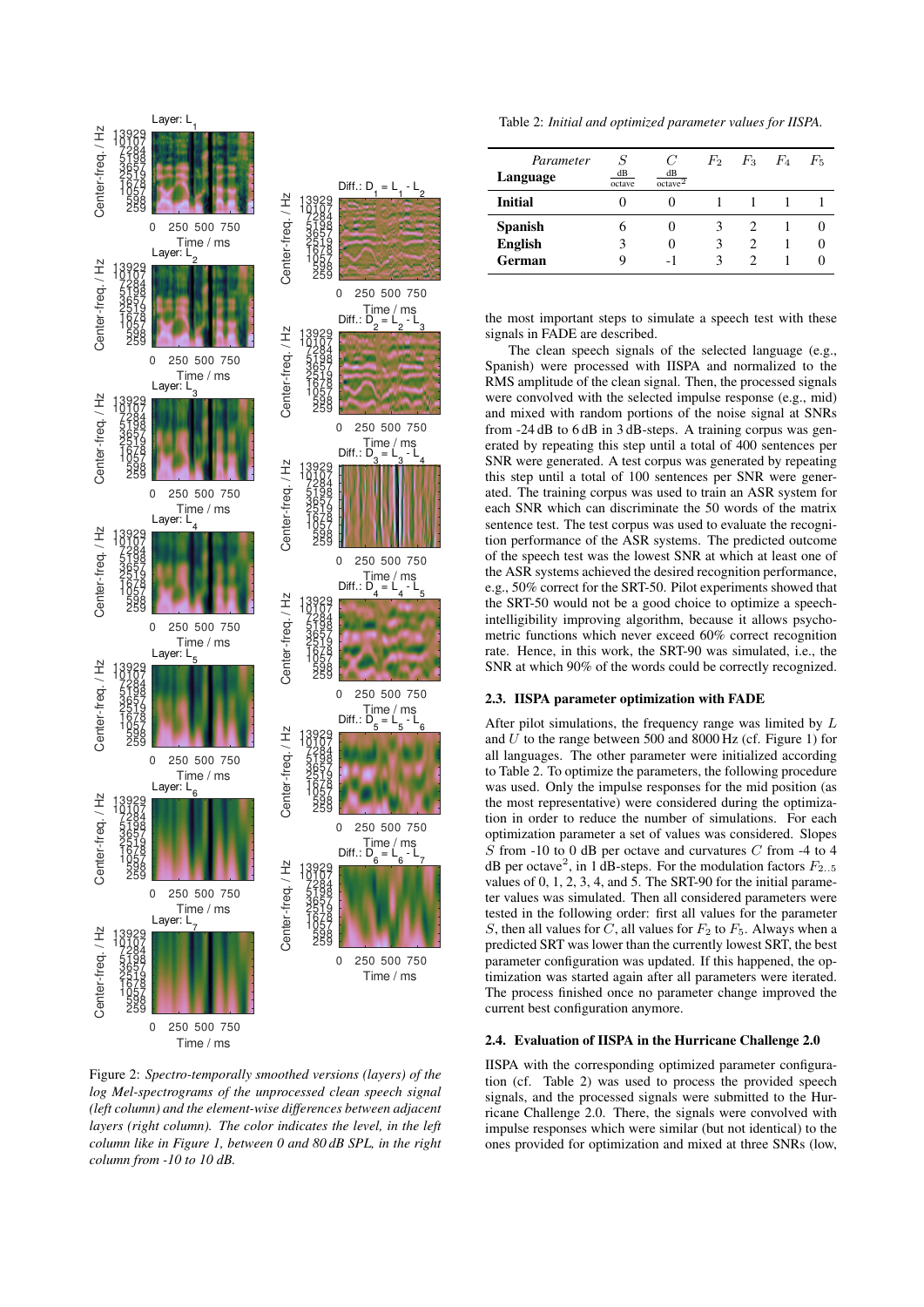

Figure 2: *Spectro-temporally smoothed versions (layers) of the log Mel-spectrograms of the unprocessed clean speech signal (left column) and the element-wise differences between adjacent layers (right column). The color indicates the level, in the left column like in Figure 1, between 0 and 80 dB SPL, in the right column from -10 to 10 dB.*

Table 2: *Initial and optimized parameter values for IISPA.*

| Parameter<br>Language | dB<br>octave | C<br>dB<br>octave <sup>2</sup> |   | $F_2$ $F_3$ $F_4$ | $F_{5}$ |
|-----------------------|--------------|--------------------------------|---|-------------------|---------|
| <b>Initial</b>        |              |                                |   |                   |         |
| <b>Spanish</b>        |              |                                | 3 |                   |         |
| <b>English</b>        |              |                                | 3 | 2                 |         |
| German                |              |                                | ٩ | 2                 |         |

the most important steps to simulate a speech test with these signals in FADE are described.

The clean speech signals of the selected language (e.g., Spanish) were processed with IISPA and normalized to the RMS amplitude of the clean signal. Then, the processed signals were convolved with the selected impulse response (e.g., mid) and mixed with random portions of the noise signal at SNRs from -24 dB to 6 dB in 3 dB-steps. A training corpus was generated by repeating this step until a total of 400 sentences per SNR were generated. A test corpus was generated by repeating this step until a total of 100 sentences per SNR were generated. The training corpus was used to train an ASR system for each SNR which can discriminate the 50 words of the matrix sentence test. The test corpus was used to evaluate the recognition performance of the ASR systems. The predicted outcome of the speech test was the lowest SNR at which at least one of the ASR systems achieved the desired recognition performance, e.g., 50% correct for the SRT-50. Pilot experiments showed that the SRT-50 would not be a good choice to optimize a speechintelligibility improving algorithm, because it allows psychometric functions which never exceed 60% correct recognition rate. Hence, in this work, the SRT-90 was simulated, i.e., the SNR at which 90% of the words could be correctly recognized.

#### 2.3. IISPA parameter optimization with FADE

After pilot simulations, the frequency range was limited by L and  $U$  to the range between 500 and 8000 Hz (cf. Figure 1) for all languages. The other parameter were initialized according to Table 2. To optimize the parameters, the following procedure was used. Only the impulse responses for the mid position (as the most representative) were considered during the optimization in order to reduce the number of simulations. For each optimization parameter a set of values was considered. Slopes  $\overline{S}$  from -10 to 0 dB per octave and curvatures C from -4 to 4 dB per octave<sup>2</sup>, in 1 dB-steps. For the modulation factors  $F_{2..5}$ values of 0, 1, 2, 3, 4, and 5. The SRT-90 for the initial parameter values was simulated. Then all considered parameters were tested in the following order: first all values for the parameter S, then all values for C, all values for  $F_2$  to  $F_5$ . Always when a predicted SRT was lower than the currently lowest SRT, the best parameter configuration was updated. If this happened, the optimization was started again after all parameters were iterated. The process finished once no parameter change improved the current best configuration anymore.

#### 2.4. Evaluation of IISPA in the Hurricane Challenge 2.0

IISPA with the corresponding optimized parameter configuration (cf. Table 2) was used to process the provided speech signals, and the processed signals were submitted to the Hurricane Challenge 2.0. There, the signals were convolved with impulse responses which were similar (but not identical) to the ones provided for optimization and mixed at three SNRs (low,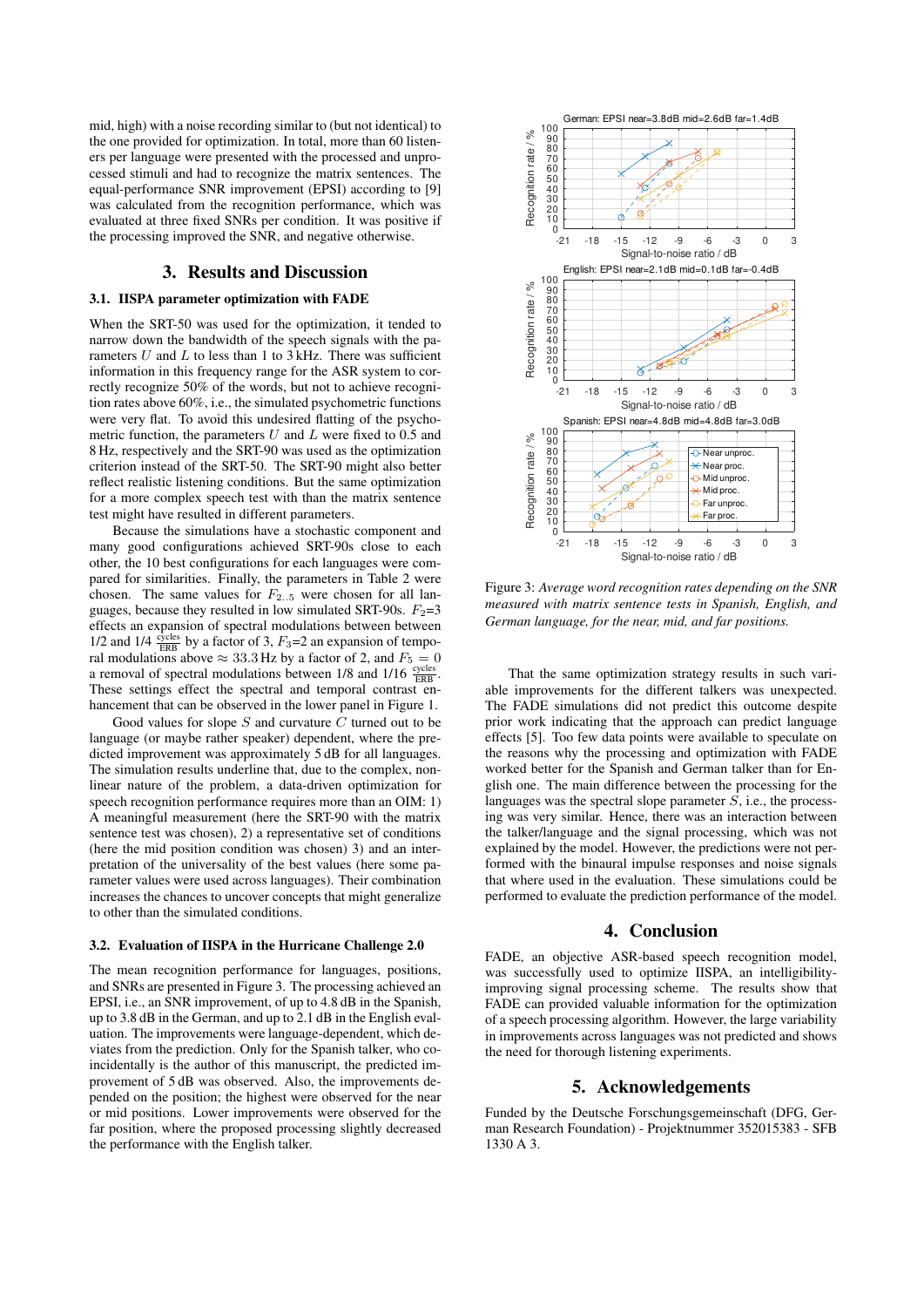mid, high) with a noise recording similar to (but not identical) to the one provided for optimization. In total, more than 60 listeners per language were presented with the processed and unprocessed stimuli and had to recognize the matrix sentences. The equal-performance SNR improvement (EPSI) according to [9] was calculated from the recognition performance, which was evaluated at three fixed SNRs per condition. It was positive if the processing improved the SNR, and negative otherwise.

# 3. Results and Discussion

### 3.1. IISPA parameter optimization with FADE

When the SRT-50 was used for the optimization, it tended to narrow down the bandwidth of the speech signals with the parameters  $U$  and  $L$  to less than 1 to 3 kHz. There was sufficient information in this frequency range for the ASR system to correctly recognize 50% of the words, but not to achieve recognition rates above 60%, i.e., the simulated psychometric functions were very flat. To avoid this undesired flatting of the psychometric function, the parameters  $U$  and  $L$  were fixed to 0.5 and 8 Hz, respectively and the SRT-90 was used as the optimization criterion instead of the SRT-50. The SRT-90 might also better reflect realistic listening conditions. But the same optimization for a more complex speech test with than the matrix sentence test might have resulted in different parameters.

Because the simulations have a stochastic component and many good configurations achieved SRT-90s close to each other, the 10 best configurations for each languages were compared for similarities. Finally, the parameters in Table 2 were chosen. The same values for  $F_{2,15}$  were chosen for all languages, because they resulted in low simulated SRT-90s.  $F_2=3$ effects an expansion of spectral modulations between between 1/2 and 1/4  $\frac{\text{cycles}}{\text{ERB}}$  by a factor of 3,  $F_3$ =2 an expansion of temporal modulations above  $\approx 33.3$  Hz by a factor of 2, and  $F_5 = 0$ a removal of spectral modulations between  $1/8$  and  $1/16 \frac{\text{cycles}}{\text{ERB}}$ . These settings effect the spectral and temporal contrast enhancement that can be observed in the lower panel in Figure 1.

Good values for slope  $S$  and curvature  $C$  turned out to be language (or maybe rather speaker) dependent, where the predicted improvement was approximately 5 dB for all languages. The simulation results underline that, due to the complex, nonlinear nature of the problem, a data-driven optimization for speech recognition performance requires more than an OIM: 1) A meaningful measurement (here the SRT-90 with the matrix sentence test was chosen), 2) a representative set of conditions (here the mid position condition was chosen) 3) and an interpretation of the universality of the best values (here some parameter values were used across languages). Their combination increases the chances to uncover concepts that might generalize to other than the simulated conditions.

#### 3.2. Evaluation of IISPA in the Hurricane Challenge 2.0

The mean recognition performance for languages, positions, and SNRs are presented in Figure 3. The processing achieved an EPSI, i.e., an SNR improvement, of up to 4.8 dB in the Spanish, up to 3.8 dB in the German, and up to 2.1 dB in the English evaluation. The improvements were language-dependent, which deviates from the prediction. Only for the Spanish talker, who coincidentally is the author of this manuscript, the predicted improvement of 5 dB was observed. Also, the improvements depended on the position; the highest were observed for the near or mid positions. Lower improvements were observed for the far position, where the proposed processing slightly decreased the performance with the English talker.



Figure 3: *Average word recognition rates depending on the SNR measured with matrix sentence tests in Spanish, English, and German language, for the near, mid, and far positions.*

That the same optimization strategy results in such variable improvements for the different talkers was unexpected. The FADE simulations did not predict this outcome despite prior work indicating that the approach can predict language effects [5]. Too few data points were available to speculate on the reasons why the processing and optimization with FADE worked better for the Spanish and German talker than for English one. The main difference between the processing for the languages was the spectral slope parameter  $S$ , i.e., the processing was very similar. Hence, there was an interaction between the talker/language and the signal processing, which was not explained by the model. However, the predictions were not performed with the binaural impulse responses and noise signals that where used in the evaluation. These simulations could be performed to evaluate the prediction performance of the model.

### 4. Conclusion

FADE, an objective ASR-based speech recognition model, was successfully used to optimize IISPA, an intelligibilityimproving signal processing scheme. The results show that FADE can provided valuable information for the optimization of a speech processing algorithm. However, the large variability in improvements across languages was not predicted and shows the need for thorough listening experiments.

# 5. Acknowledgements

Funded by the Deutsche Forschungsgemeinschaft (DFG, German Research Foundation) - Projektnummer 352015383 - SFB 1330 A 3.